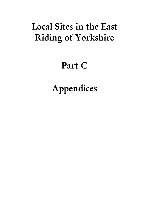# Local Sites in the East Riding of Yorkshire

# Part C

Appendices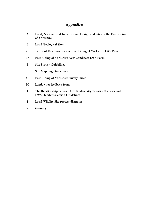# Appendices

- A Local, National and International Designated Sites in the East Riding of Yorkshire
- B Local Geological Sites
- C Terms of Reference for the East Riding of Yorkshire LWS Panel
- D East Riding of Yorkshire New Candidate LWS Form
- E Site Survey Guidelines
- F Site Mapping Guidelines
- G East Riding of Yorkshire Survey Sheet
- H Landowner feedback form
- I The Relationship between UK Biodiversity Priority Habitats and LWS Habitat Selection Guidelines
- J Local Wildlife Site process diagrams
- K Glossary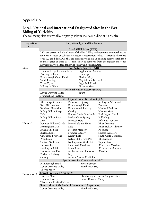# Appendix A

# Local, National and International Designated Sites in the East Riding of Yorkshire

The following sites are wholly, or partly within the East Riding of Yorkshire

| Designation<br>level | Designation Type and Site Names                                                   |                                                                                |                                                                                   |  |  |
|----------------------|-----------------------------------------------------------------------------------|--------------------------------------------------------------------------------|-----------------------------------------------------------------------------------|--|--|
|                      | Local Wildlife Site (LWS)                                                         |                                                                                |                                                                                   |  |  |
|                      | LWS are present within all areas of the East Riding and represent a comprehensive |                                                                                |                                                                                   |  |  |
|                      |                                                                                   | network of sites of substantive nature conservation value. Currently there are |                                                                                   |  |  |
|                      |                                                                                   |                                                                                | over 600 candidate LWS that are being surveyed on an ongoing basis to establish a |  |  |
|                      |                                                                                   | sound register of these sites. Some may be removed from the register and other |                                                                                   |  |  |
|                      |                                                                                   | new sites may be added following survey and consideration.                     |                                                                                   |  |  |
| Local                |                                                                                   |                                                                                |                                                                                   |  |  |
|                      |                                                                                   | Local Nature Reserve (LNR)                                                     |                                                                                   |  |  |
|                      | Humber Bridge Country Park                                                        | Sigglesthorne Station                                                          |                                                                                   |  |  |
|                      | <b>Eastrington Ponds</b>                                                          | Southorpe                                                                      |                                                                                   |  |  |
|                      | Flamborough Outer Head                                                            | Hudson Way                                                                     |                                                                                   |  |  |
|                      | South Landing                                                                     | Mayfield and Broom Park                                                        |                                                                                   |  |  |
|                      | Danes Dyke                                                                        | Sugar Mill Ponds                                                               |                                                                                   |  |  |
|                      | Millington Wood                                                                   | Howden Marsh                                                                   |                                                                                   |  |  |
|                      |                                                                                   | <b>National Nature Reserve (NNR)</b>                                           |                                                                                   |  |  |
|                      | Lower Derwent Valley                                                              | Spurn                                                                          |                                                                                   |  |  |
|                      | Humberhead Peatlands                                                              |                                                                                |                                                                                   |  |  |
|                      |                                                                                   | Site of Special Scientific Interest (SSSI)                                     |                                                                                   |  |  |
|                      | Allerthorpe Common                                                                | Everthorpe Quarry                                                              | Millington Wood and                                                               |  |  |
|                      | Barn Hill meadows                                                                 | Flamborough Head                                                               | Pastures                                                                          |  |  |
|                      | <b>Beckhead Plantation</b>                                                        | Flamborough Railway                                                            | Newbald Becksies                                                                  |  |  |
|                      | <b>Bishop Wilton Deep</b>                                                         | Cutting                                                                        | Newton Mask                                                                       |  |  |
|                      | Dale                                                                              | Fordon Chalk Grasslands                                                        | Pocklington Canal                                                                 |  |  |
|                      | Bishop Wilton Poor                                                                | Hoddy Cows Spring                                                              | Pulfin Bog                                                                        |  |  |
|                      | Land                                                                              | Hornsea Mere                                                                   | Rifle Butts Quarry                                                                |  |  |
| National             | Boynton Willow Garth                                                              | Horse Dale and Holm                                                            | <b>River Derwent</b>                                                              |  |  |
|                      | Brantingham Dale                                                                  | Dale                                                                           | River Hull Headwaters                                                             |  |  |
|                      | Bryan Mills Field                                                                 | Hotham Meadow                                                                  | Roos Bog                                                                          |  |  |
|                      | <b>Burton Bushes</b>                                                              | Humber Estuary                                                                 | Skipsea Bail Mere                                                                 |  |  |
|                      | Cinquefoil Brow and                                                               | <b>Keasey Dale</b>                                                             | South Cliffe Common                                                               |  |  |
|                      | Wood Dale                                                                         | Kelsey Hill Gravel Pits                                                        | The Lagoons                                                                       |  |  |
|                      | Cottam Well Dale                                                                  | Kiplingcoates Chalk Pit                                                        | Tophill Low                                                                       |  |  |
|                      | Derwent Ings                                                                      | Lambwath Meadows                                                               | White Carr Meadow                                                                 |  |  |
|                      | Dimlington Cliff                                                                  | Leven Canal                                                                    | Withow Gap, Skipsea                                                               |  |  |
|                      | Drewton Lane Pits                                                                 | Melbourne and Thornton                                                         | Wyedale                                                                           |  |  |
|                      | Enthorpe Railway                                                                  | Ings                                                                           |                                                                                   |  |  |
|                      | Cutting                                                                           | Melton Bottom Chalk Pit                                                        |                                                                                   |  |  |
|                      |                                                                                   | Special Area for Conservation (SAC)                                            |                                                                                   |  |  |
|                      | Flamborough Head                                                                  | <b>River Derwent</b>                                                           |                                                                                   |  |  |
|                      | Lower Derwent Valley                                                              | Humber Estuary                                                                 |                                                                                   |  |  |
|                      | Thorne Moor                                                                       |                                                                                |                                                                                   |  |  |
| International        | Special Protection Area (SPA)                                                     |                                                                                |                                                                                   |  |  |
|                      | Hornsea Mere                                                                      |                                                                                | Flamborough Head to Bempton Cliffs                                                |  |  |
|                      | Humber Estuary                                                                    | Lower Derwent Valley                                                           |                                                                                   |  |  |
|                      | Thorne and Hatfield Moors                                                         |                                                                                |                                                                                   |  |  |
|                      | Ramsar (List of Wetlands of International Importance)                             |                                                                                |                                                                                   |  |  |
|                      | Lower Derwent Valley                                                              | Humber Estuary                                                                 |                                                                                   |  |  |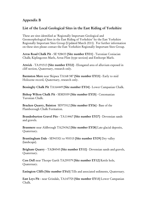# Appendix B

## List of the Local Geological Sites in the East Riding of Yorkshire

These are sites identified as 'Regionally Important Geological and Geomorphological Sites in the East Riding of Yorkshire' by the East Yorkshire Regionally Important Sites Group (Updated March 2011). For further information on these sites please contact the East Yorkshire Regionally Important Sites Group.

Arras Road Chalk Pit - SE 928433 [Site number EY01] - Turonian Coniacian Chalk; Kiplingcotes Marls, Arras Flint (type section) and Enthorpe Marls.

Atwick - TA191513 [Site number EY02] - Elongated area of alluvium exposed in cliff section, Quaternary, research only.

Barmston Mere near Skipsea TA168 587 [Site number EY03] - Early to mid Holocene record, Quaternary, research only.

Bessingby Chalk Pit TA164449 [Site number EY04] - Lower Campanian Chalk.

Bishop Wilton Chalk Pit - SE805559 [Site number EY05] - Cenomanian Turonian Chalk.

Bracken Quarry, Bainton SE973512 [Site number EY06] - Base of the Flamborough Chalk Formation.

Brandesburton Gravel Pits - TA114467 [Site number EY07] - Devensian sands and gravels.

Branmere near Aldbrough TA234362 [Site number EY08] Late glacial deposits, Quaternary.

Brantingham Dale - SE943301 to 955315 [Site number EY09] Dry valley (landscape).

Brigham Quarry - TA084545 [Site number EY10] - Devensian sands and gravels, Quaternary.

Cess Dell near Thorpe Garth TA259379 [Site number EY12] Kettle hole, Quaternary.

Easington Cliffs [Site number EY63] Tills and associated sediments, Quaternary.

East Leys Pit - near Grindale, TA147705 [Site number EY13] Lower Campanian Chalk.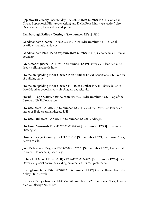Eppleworth Quarry - near Skidby TA 021324 [Site number EY14] Coniacian Chalk, Eppleworth Flint (type section) and De La Pole Flint (type section) also Quaternary till, loess and head deposits.

Flamborough Railway Cutting - [Site number EY61] (SSSI).

Goodmanham Channel - SE895625 to 915435 [Site number EY17] Glacial overflow channel, landscape.

Goodmanham Black Band exposure [Site number EY18] Cenomanian-Turonian boundary.

Gransmoor Quarry TA111596 [Site number EY19] Devensian Flandrian mere deposits filling a kettle hole.

Holme-on-Spalding-Moor Chruch [Site number EY70] Educational site - variety of building stones.

Holme-on-Spalding-Moor Chruch Hill [Site number EY71] Triassic inlier in Lake Humber deposits, possibly Anglian deposits also.

Hornhill Top Quarry, near Bainton SE974501 [Site number EY20] Top of the Burnham Chalk Formation.

Hornsea Mere TA190470 [Site number EY21] Last of the Devensian Flandrian meres of Holderness, landscape. SSSI

Hornsea Old Mere TA208475 [Site number EY22] Landscape.

Hotham Crossroads Pits SE995339 & 884342 [Site number EY23] Rhaetian to Hettangian.

Humber Bridge Country Park TA018260 [Site number EY24] Turonian Chalk, Barton Marls.

Jarret's Ings near Brigham TA082220 to 093523 [Site number EY25] Late glacial to recent Holocene, Quaternary.

Kelsey Hill Gravel Pits (I & II) - TA241272 & 244278 [Site number EY26] Late Devensian glacial outwash, yielding mammalian bones, Quaternary.

Keyingham Gravel Pits TA240272 [Site number EY27] Shells collected from the Kelsey Hill Gravels.

Kilnwick Percy Quarry - SE843504 [Site number EY28] Turonian Chalk, Ulceby Marl & Ulceby Oyster Bed.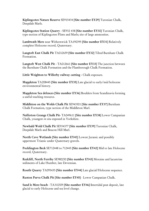Kiplingcotes Nature Reserve SE915434 [Site number EY29] Turonian Chalk, Deepdale Marls.

Kiplingcotes Station Quarry - SE932 438 [Site number EY30] Turonian Chalk, type section of Kiplingcotes Flints and Marls; site of large ammonites.

Lambwath Mere near Withernwick TA190395 [Site number EY31] Relatively complete Holocene record, Quaternary.

Langtoft East Chalk Pit TA012659 [Site number EY32] Tilted Burnham Chalk Formation.

Langtoft West Chalk Pit - TA012661 [Site number EY33] The junction between the Burnham Chalk Formation and the Flamborough Chalk Formation.

Little Weighton to Willerby railway cutting - Chalk exposure.

Mappleton TA208445 [Site number EY35] Late glacial to early/mid holocene environmental history.

Mappleton Sea defences [Site number EY36] Boulders from Scandinavia forming a useful teaching resource.

Middleton on the Wolds Chalk Pit SE943501 [Site number EY37] Burnham Chalk Formation, type section of the Middleton Marl.

Nafferton Grange Chalk Pit- TA049611 [Site number EY38] Lower Campanian Chalk, youngest in situ exposed in Yorkshire.

Newbald Wold Chalk Pit SE934377 [Site number EY39] Turonian Chalk, Deepdale Marls and Beacon Hill Marl.

North Cave Wetlands [Site number EY40] Lowest Jurassic and possibly uppermost Triassic under Quaternary gravels.

Pocklington Beck SE712448 to 712445 [Site number EY42] Mid to late Holocene record, Quaternary.

Redcliff, North Ferriby SE980250 [Site number EY43] Moraine and lacustrine sediments of Lake Humber, late Devensian.

Routh Quarry TA095435 [Site number EY44] Late glacial/Holocene sequence.

Ruston Parva Chalk Pit [Site number EY45] - Lower Campanian Chalk.

Sand le Mere beach - TA310309 [Site number EY46] Intertidal peat deposit, late glacial to early Holocene and sea level change.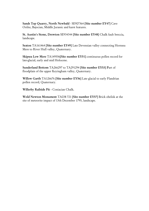Sands Top Quarry, North Newbald - SE907364 [Site number EY47] Cave Oolite, Bajocian, Middle Jurassic and karst features.

St. Austin's Stone, Drewton SE934344 [Site number EY48] Chalk fault breccia, landscape.

Seaton TA161464 [Site number EY49] Late Devensian valley connecting Hornsea Mere to River Hull valley, Quaternary.

Skipsea Low Mere TA149556[Site number EY51] continuous pollen record for late-glacial, early and mid Holocene.

Sunderland Bottom TA266297 to TA291294 [Site number EY53] Part of floodplain of the upper Keyingham valley, Quaternary.

Willow Garth TA126676 [Site number EY56] Late glacial to early Flandrian pollen record, Quaternary.

Willerby Railside Pit - Coniacian Chalk.

Wold Newton Monument TA038 721 [Site number EY57] Brick obelisk at the site of meteorite impact of 13th December 1795, landscape.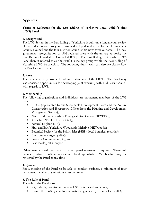# Appendix C

#### Terms of Reference for the East Riding of Yorkshire Local Wildlife Sites (LWS) Panel

#### 1. Background

The LWS System in the East Riding of Yorkshire is built on a fundamental review of the older non-statutory site system developed under the former Humberside County Council and the four District Councils that now cover our area. The local government reorganisation of 1996 replaced these with the unitary authority the East Riding of Yorkshire Council (ERYC). The East Riding of Yorkshire LWS Panel (herein referred to as 'the Panel') is the key group within the East Riding of Yorkshire LWS Partnership. The following draft terms of reference clarify how the Panel should operate.

#### 2. Area

The Panel currently covers the administrative area of the ERYC. The Panel may also consider opportunities for developing joint working with Hull City Council with regards to LWS.

#### 3. Membership

The following organisations and individuals are permanent members of the LWS Panel:

- ERYC (represented by the Sustainable Development Team and the Nature Conservation and Hedgerows Officer from the Planning and Development Management Service);
- North and East Yorkshire Ecological Data Centre (NEYEDC);
- Yorkshire Wildlife Trust (YWT);
- Natural England (NE);
- Hull and East Yorkshire Woodlands Initiative (HEYwoods);
- Botanical Society for the British Isles (BSBI ) (local botanical recorder);
- Environment Agency (EA);
- Forestry Commission (FC); and
- Lead Ecological surveyor.

Other members will be invited to attend panel meetings as required. These will include contract LWS surveyors and local specialists. Membership may be reviewed by the Panel at any time.

#### 4. Quorum

For a meeting of the Panel to be able to conduct business, a minimum of four permanent member organisations must be present.

#### 5. The Role of Panel

The role of the Panel is to:

- Set, publish, monitor and review LWS criteria and guidelines;
- Ensure the LWS System follows national guidance (currently Defra 2006);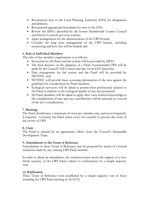- Recommend sites to the Local Planning Authority (LPA) for designation and deletion;
- Recommend appropriate boundaries for sites to the LPA;
- Review the SINCs identified by the former Humberside County Council and District Councils previous systems;
- Agree arrangements for the administration of the LWS System;
- Consider the long term management of the LWS System, including monitoring and how this will be funded; and

#### 6. Role of Individual Members

The roles of key member organisations is as follows:

- Secretariat for the Panel and the system will be provided by ERYC
- The final decision on the adoption of a Panel recommended LWS will be made by the Council's full Council and also via its LPA functions;
- Data management for the system and the Panel will be provided by NEYEDC; and
- NEYEDC will provide basic screening information of the sites against the guidelines for consideration by Panel members.
- Ecological surveyors will be asked to present their professional opinion to the Panel in relation to the ecological quality of any sites presented.
- All Panel members will be asked to apply their own technical knowledge to the consideration of sites and any contributions will be minuted as a record of the site's consideration.

#### 7. Meetings

The Panel should meet a minimum of twice per calendar year, and more frequently if required. Currently the Panel meets every two months to process the work of the review of LWS.

#### 8. Chair

The Panel is chaired by an appropriate officer from the Council's Sustainable Development Team.

#### 9. Amendments to the Terms of Reference

Amendments to these Terms of Reference may be proposed by means of a formal resolution made by any existing LWS Panel member.

In order to adopt an amendment, the resolution must secure the support of a twothirds majority of the LWS Panel, subject to confirmation by a simple majority vote.

#### 10. Ratification

These Terms of Reference were established by a simple majority vote of those attending the LWS Panel meeting of 10/10/12.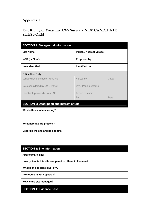# Appendix D

# East Riding of Yorkshire LWS Survey – NEW CANDIDATE SITES FORM

| <b>SECTION 1: Background Information</b>                 |                                 |  |  |
|----------------------------------------------------------|---------------------------------|--|--|
| <b>Site Name:</b>                                        | Parish / Nearest Village:       |  |  |
| NGR (or $5km^2$ ):                                       | Proposed by:                    |  |  |
| How identified:                                          | Identified on:                  |  |  |
| <b>Office Use Only</b>                                   |                                 |  |  |
| Landowner identified? Yes / No                           | Visited by:<br>Date:            |  |  |
| Date considered by LWS Panel:                            | LWS Panel outcome:              |  |  |
| Feedback provided? Yes / No                              | Added to layer:<br>By:<br>Date: |  |  |
| <b>SECTION 2: Description and Interest of Site</b>       |                                 |  |  |
| Why is this site interesting?                            |                                 |  |  |
| What habitats are present?                               |                                 |  |  |
| Describe the site and its habitats:                      |                                 |  |  |
| <b>SECTION 3: Site Information</b>                       |                                 |  |  |
| <b>Approximate size:</b>                                 |                                 |  |  |
| How typical is this site compared to others in the area? |                                 |  |  |
| What is the species diversity?                           |                                 |  |  |
| Are there any rare species?                              |                                 |  |  |
| How is the site managed?                                 |                                 |  |  |
| <b>SECTION 4: Evidence Base</b>                          |                                 |  |  |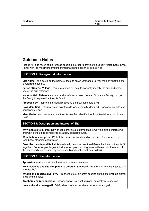| Source (if known) and<br>Year |
|-------------------------------|
|                               |
|                               |
|                               |
|                               |

# **Guidance Notes**

Please fill in as much of the form as possible in order to provide the Local Wildlife Sites (LWS) Panel with the maximum amount of information to base their decision on.

#### **SECTION 1: Background Information**

**Site Name** – this could be the name of the site on an Ordnance Survey map or what the site is referred to locally.

**Parish / Nearest Village** – this information will help to correctly identify the site and crosscheck the grid reference.

**National Grid Reference** – central site reference taken from an Ordnance Survey map, or the 5km grid square that the site falls in.

**Proposed by** – name of individual proposing the new candidate LWS.

**How identified** – information on how the site was originally identified. For example; site visit, aerial photograph.

**Identified on** – approximate date the site was first identified for its potential as a candidate LWS.

#### **SECTION 2: Description and Interest of Site**

**Why is this site interesting?** Please provide a statement as to why this site is interesting and why it should be considered as a new candidate LWS.

**What habitats are present?** List the broad habitats found on the site. For example; scrub, reed beds, standing open water.

**Describe the site and its habitats** – briefly describe how the different habitats on the site fit together. For example; large central area of open standing water with reeds to the north of the water body, surrounded by dense scrub and scattered trees (willow).

#### **SECTION 3: Site Information**

**Approximate size** – estimate the area in acres or hectares.

**How typical is this site compared to others in the area?** Are there any similar sites to this one nearby?

**What is the species diversity?** Are there lots of different species on the site (include plants, birds and animals).

**Are there any rare species?** List any known national, regional or locally rare species.

**How is the site managed?** Briefly describe how the site is currently managed.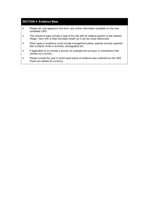#### **SECTION 4: Evidence Base**

- Please list, and append to this form, any further information available on the new candidate LWS.
- This should at least include a map of the site with its relative position to the nearest village / farm with a clear boundary drawn so it can be cross-referenced.
- Other types of evidence could include management plans, species surveys (species lists of plants, birds or animals), photographs etc.
- If applicable try to include a source, for example the surveyor or consultancy that carried out a survey.
- Please include the year in which each piece of evidence was collected so the LWS Panel can assess its currency.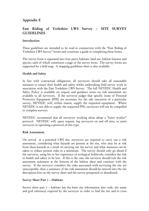## Appendix E

## East Riding of Yorkshire LWS Survey – SITE SURVEY **GUIDELINES**

#### Introduction

These guidelines are intended to be read in conjunction with the "East Riding of Yorkshire LWS Survey" forms and constitute a guide to completing these forms.

The survey form is separated into four parts; habitats, land use, habitat features and species, each of which constitutes a page of the survey form. The survey forms are supported by a field map. A mapping guidelines sheet is also available.

#### Health and Safety

In line with contractual obligations, all surveyors should take all reasonable measures to ensure their health and safety whilst undertaking field survey work in association with the East Yorkshire LWS Survey. The full NEYEDC Health and Safety Policy is available on request and guidance notes on risk assessment are available to all surveyors. If the surveyor judges that specific items of Personal Protective Equipment (PPE) are necessary for the safe execution of a particular survey, NEYEDC will, within reason, supply the requested equipment. Where NEYEDC is not able to supply the requested PPE, surveyors will not be compelled to complete surveys.

NEYEDC recommend that all surveyors working alone adopt a "loner worker" protocol. NEYEDC will, upon request, log surveyors on and off sites, to assist surveyors in operating a protocol of this type.

#### Risk Assessment.

On arrival at a potential LWS site, surveyors are required to carry out a risk assessment, considering what hazards are present at the site, who may be at risk from these hazards as a result of carrying out the survey and what measures can be taken to reduce present risks to a minimum. The survey should only go ahead if the surveyor, using his or her experience of ecological fieldwork, considers the risk to health and safety to be low. If this is the case, the surveyor should tick the risk assessment statement at the bottom of the habitat sheet and continue with the survey. If the surveyor considers the risks associated with surveying the site are unacceptable, then a summary of the risk assessment should be entered into the site description box on the survey sheet and the survey postponed or abandoned.

#### Survey Sheet Part 1 – Habitats

Survey sheet part 1 – habitats has the basic site information (site code, site name and grid reference) required by the surveyor in order to find the site and to cross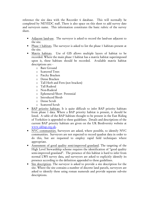reference the site data with the Recorder 6 database. This will normally be completed by NEYEDC staff. There is also space on this sheet to add survey date and surveyors name. This information constitutes the basic rubric of the survey sheet.

- Adjacent land-use. The surveyor is asked to record the land-use adjacent to the site.
- Phase 1 habitats. The surveyor is asked to list the phase 1 habitats present at the site.
- Matrix habitats. Use of GIS allows multiple layers of habitat to be recorded. Where the main phase 1 habitat has a matrix habitat superimposed upon it, these habitats should be recorded. Available matrix habitat descriptions are:
	- o Bare Ground
	- o Scattered Trees
	- o Patchy Bracken
	- o Dense Bracken
	- o Tall Herb and Fern (not bracken)
	- o Tall Ruderal
	- o Non-Ruderal
	- o Ephemeral/Short Perennial
	- o Introduced Shrub
	- o Dense Scrub
	- o Scattered Scrub
- BAP priority habitats. It is quite difficult to infer BAP priority habitats from phase 1 data. Where a BAP priority habitat is present, it should be listed. A table of the BAP habitats thought to be present in the East Riding of Yorkshire is appended to these guidelines. Details and descriptions of the current BAP priority habitats are given on the UK Biodiversity website at www.ukbap.org.uk.
- NVC communities. Surveyors are asked, where possible, to identify NVC communities. Surveyors are not expected to record quadrat data in order to do this, but are requested to employ rapid field techniques where appropriate.
- Assessment of good quality semi-improved grassland. The targeting of the High Level Stewardship scheme requires the identification of "good quality semi-improved grassland". The presence of this habitat is hard to infer from normal LWS survey data, and surveyors are asked to explicitly identify its presence according to the definition appended to these guidelines.
- Site description. The surveyor is asked to provide a site description for the site. Where the site contains a number of discrete land parcels, surveyors are asked to identify these using roman numerals and provide separate sub-site descriptions.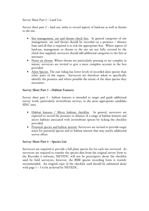Survey Sheet Part 2 – Land Use

Survey sheet part 2 – land use, seeks to record aspects of land-use as well as threats to the site.

- Site management, use and threats check lists. In general categories of site management, use and threats should be recorded on a presence / absence basis and all that is required is to tick the appropriate box. Where aspects of land-use, management or threats to the site are not fully covered by the check lists supplied, surveyors should add additional categories to the lists as necessary.
- Notes on threats. Where threats are particularly pressing or are complex in nature, surveyors are invited to give a more complete account in the box provided.
- Alien Species. The east riding has lower levels of recorded alien species than other parts of the region. Surveyors are therefore asked to specifically identify the presence and where possible the extent of the alien species they encounter.

#### Survey Sheet Part 3 – Habitat Features

Survey sheet part 3 – habitat features is intended to target and guide additional survey work, particularly invertebrate surveys, to the most appropriate candidate SINC sites.

- Habitat features / Micro habitats checklist. In general, surveyors are expected to record the presence or absence of a range of habitat features and micro habitats associated with invertebrate species by ticking the checklist provided.
- Potential species and habitat interest. Surveyors are invited to provide target notes for potential species and or habitat interest that may justify additional survey effort.

#### Survey Sheet Part 4 – Species List

Surveyors are required to provide a full plant species list for each site surveyed. As surveyors are required to transfer the species data from the original survey form to the Recorder 6 software, NEYEDC will not be prescriptive about the checklist used by field surveyors, however, the BSBI species recording form is warmly recommended. An original copy of the checklist used should be submitted alone with page 1 – 3 to be archived by NEYEDC.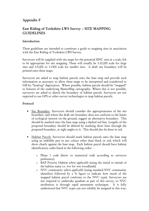# Appendix F

## East Riding of Yorkshire LWS Survey – SITE MAPPING **GUIDELINES**

#### Introduction

These guidelines are intended to constitute a guide to mapping sites in association with the East Riding of Yorkshire LWS Survey.

Surveyors will be supplied with site maps for the potential SINC sites at a scale, felt to be appropriate for site mapping. These will usually be 1:10,000 scale for large sites and 1:5,000 or 1:1500 scale for smaller sites. A draft site boundary will be printed onto these maps.

Surveyors are asked to map habitat parcels onto the base map and provide such information as necessary to allow these maps to be interpreted and transferred to GIS by "head-up" digitization. Where possible, habitat parcels should be "snapped" to features of the underlying MasterMap cartography. Where this is not possible, surveyors are asked to sketch the boundary of habitat parcels. Surveyors are not expected to use GPS or other survey technologies to map habitat parcels.

#### Protocol

- Site Boundary. Surveyors should consider the appropriateness of the site boundary, and where the draft site boundary does not conform to the limits of ecological interest on the ground, suggest an alternative boundary. This should be marked onto the base map using a dashed red line. Lengths of the proposed boundary should be deleted by marking short lines through the proposed boundary, at right angles to it. This should also be done in red.
- Habitat Parcels. Surveyors should mark habitat parcels onto the base map using an indelible pen in any colour other than black or red, which will show clearly against the base map. Each habitat parcel should have habitat identification codes listed in the following order:
	- o Phase 1 code (letter or numerical code according to surveyor preference)
	- o BAP Priority Habitat where applicable (using the initial or initials of the habitat name i.e. ww for wet woodlands)
	- o NVC community where applicable (using standard NVC community identifiers followed by a % figure to indicate how much of the mapped habitat parcel conforms to the NVC type). Surveyors are not required to undertake quadrats as part of this survey, so NVC attribution is through rapid assessment techniques. It is fully understood that NVC types can not reliably be assigned in this way,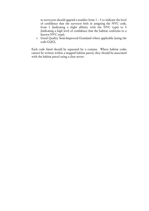so surveyors should append a number from 1 – 5 to indicate the level of confidence that the surveyor feels in assigning the NVC code, from 1 (indicating a slight affinity with the NVC type) to 5 (indicating a high level of confidence that the habitat conforms to a known NVC type).

o Good Quality Semi-Improved Grassland where applicable (using the code GQG).

Each code listed should be separated by a comma. Where habitat codes cannot be written within a mapped habitat parcel, they should be associated with the habitat parcel using a clear arrow.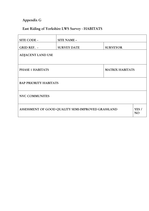# Appendix G

# East Riding of Yorkshire LWS Survey - HABITATS

| SITE CODE -                                        | SITE NAME -        |                 |                    |  |
|----------------------------------------------------|--------------------|-----------------|--------------------|--|
| GRID REF. -                                        | <b>SURVEY DATE</b> | <b>SURVEYOR</b> |                    |  |
| <b>ADJACENT LAND USE</b>                           |                    |                 |                    |  |
| PHASE 1 HABITATS<br><b>MATRIX HABITATS</b>         |                    |                 |                    |  |
| <b>BAP PRIORITY HABITATS</b>                       |                    |                 |                    |  |
| <b>NVC COMMUNITES</b>                              |                    |                 |                    |  |
| ASSESSMENT OF GOOD QUALITY SEMI-IMPROVED GRASSLAND |                    |                 | YES /<br><b>NO</b> |  |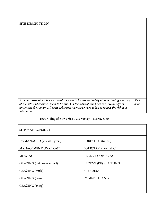#### SITE DESCRIPTION

| Risk Assessment – I have assessed the risks to health and safety of undertaking a survey          | Tick |
|---------------------------------------------------------------------------------------------------|------|
| at this site and consider them to be low. On the basis of this I believe it to be safe to         | bere |
| undertake the survey. All reasonable measures have been taken to reduce the risk to a<br>minimum. |      |

## East Riding of Yorkshire LWS Survey – LAND USE

| <b>SITE MANAGEMENT</b>       |                         |
|------------------------------|-------------------------|
| UNMANAGED (at least 2 years) | FORESTRY (timber)       |
| MANAGEMENT UNKNOWN           | FORESTRY (clear felled) |
| <b>MOWING</b>                | RECENT COPPICING        |
| GRAZING (unknown animal)     | RECENT (RE) PLANTING    |
| <b>GRAZING</b> (cattle)      | <b>BIO-FUELS</b>        |
| GRAZING (horse)              | <b>COMMON LAND</b>      |
| GRAZING (sheep)              |                         |
|                              |                         |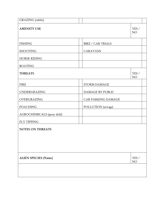| GRAZING (rabbit)            |                          |                          |
|-----------------------------|--------------------------|--------------------------|
| <b>AMENITY USE</b>          |                          | YES /<br>NO <sub>1</sub> |
| <b>FISHING</b>              | <b>BIKE / CAR TRIALS</b> |                          |
| <b>SHOOTING</b>             | <b>CARAVANS</b>          |                          |
| <b>HORSE RIDING</b>         |                          |                          |
| <b>BOATING</b>              |                          |                          |
| <b>THREATS</b>              |                          | YES /<br>NO <sub>1</sub> |
| <b>FIRE</b>                 | <b>STORM DAMAGE</b>      |                          |
| UNDERGRAZING                | DAMAGE BY PUBLIC         |                          |
| OVERGRAZING                 | CAR PARKING DAMAGE       |                          |
| <b>POACHING</b>             | POLLUTION (sewage)       |                          |
| AGROCHEMICALS (spray drift) |                          |                          |
| FLY TIPPING                 |                          |                          |
| NOTES ON THREATS            |                          |                          |
|                             |                          |                          |
|                             |                          |                          |
|                             |                          |                          |
| <b>ALIEN SPECIES (Name)</b> |                          | YES /<br>NO              |
|                             |                          |                          |
|                             |                          |                          |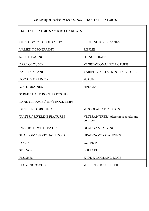# East Riding of Yorkshire LWS Survey – HABITAT FEATURES

| <b>HABITAT FEATURES / MICRO HABITATS</b> |                                                     |  |  |
|------------------------------------------|-----------------------------------------------------|--|--|
| <b>GEOLOGY &amp; TOPOGRAPHY</b>          | <b>ERODING RIVER BANKS</b>                          |  |  |
| VARIED TOPOGRAPHY                        | <b>RIFFLES</b>                                      |  |  |
| <b>SOUTH FACING</b>                      | <b>SHINGLE BANKS</b>                                |  |  |
| <b>BARE GROUND</b>                       | VEGETATIONAL STRUCTURE                              |  |  |
| <b>BARE DRY SAND</b>                     | <b>VARIED VEGETATION STRUCTURE</b>                  |  |  |
| POORLY DRAINED                           | <b>SCRUB</b>                                        |  |  |
| <b>WELL DRAINED</b>                      | <b>HEDGES</b>                                       |  |  |
| <b>SCREE / HARD ROCK EXPOSURE</b>        |                                                     |  |  |
| LAND SLIPPAGE / SOFT ROCK CLIFF          |                                                     |  |  |
| DISTURBED GROUND                         | <b>WOODLAND FEATURES</b>                            |  |  |
| WATER / RIVERINE FEATURES                | VETERAN TREES (please note species and<br>position) |  |  |
| DEEP RUTS WITH WATER                     | DEAD WOOD LYING                                     |  |  |
| <b>SHALLOW / SEASONAL POOLS</b>          | DEAD WOOD STANDING                                  |  |  |
| <b>POND</b>                              | <b>COPPICE</b>                                      |  |  |
| <b>SPRINGS</b>                           | POLLARD                                             |  |  |
| <b>FLUSHES</b>                           | WIDE WOODLAND EDGE                                  |  |  |
| <b>FLOWING WATER</b>                     | WELL STRUCTURES RIDE                                |  |  |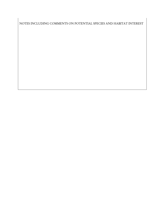NOTES INCLUDING COMMENTS ON POTENTIAL SPECIES AND HABITAT INTEREST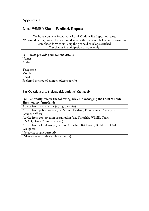# Appendix H

### Local Wildlife Sites – Feedback Request

We hope you have found your Local Wildlife Site Report of value. We would be very grateful if you could answer the questions below and return this completed form to us using the pre-paid envelope attached Our thanks in anticipation of your reply.

#### Q1. Please provide your contact details: Name:

Address:

Telephone: Mobile: Email: Preferred method of contact (please specify)

#### For Questions 2 to 5 please tick option(s) that apply:

\_\_\_\_\_\_\_\_\_\_\_\_\_\_\_\_\_\_\_\_\_\_\_\_\_\_\_\_\_\_\_\_\_\_\_\_\_\_\_\_\_\_\_\_\_\_\_

#### Q2. I currently receive the following advice in managing the Local Wildlife Site(s) on my farm/land:

| Advice from own advisor (e.g. agronomist)                               |  |
|-------------------------------------------------------------------------|--|
| Advice from public agency (e.g. Natural England, Environment Agency or  |  |
| Council Officer)                                                        |  |
| Advice from conservation organisation (e.g. Yorkshire Wildlife Trust,   |  |
| FWAG, Game Conservancy etc)                                             |  |
| Advice from a local group (e.g. East Yorkshire Bat Group, Wold Barn Owl |  |
| Group etc)                                                              |  |
| No advice sought currently                                              |  |
| Other sources of advice (please specify)                                |  |
|                                                                         |  |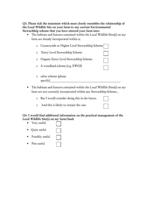#### Q3. Please tick the statement which most closely resembles the relationship of the Local Wildlife Site on your farm to any current Environmental Stewardship scheme that you have entered your farm into:

• The habitats and features contained within the Local Wildlife Sites(s) on my farm are already incorporated within a;

|  | o Countryside or Higher Level Stewardship Scheme |  |
|--|--------------------------------------------------|--|
|  | Entry Level Stewardship Scheme                   |  |
|  | o Organic Entry Level Stewardship Scheme         |  |
|  | o A woodland scheme (e.g. EWGS)                  |  |
|  |                                                  |  |

- o other scheme (please specify)
- The habitats and features contained within the Local Wildlife Sites(s) on my farm are not currently incorporated within any Stewardship Scheme…
	- o But I would consider doing this in the future.
	- o And this is likely to remain the case.

| Q4. I would find additional information on the practical management of the |
|----------------------------------------------------------------------------|
| Local Wildlife Site(s) on my farm/land:                                    |

- Very useful
- Quite useful
- Possibly useful
- Not useful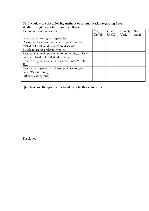#### Q5. I would score the following methods of communication regarding Local Wildlife Site(s) on my farm/land as follows:

| Method of Communication                                | Very   | Quite  | Possibly | Not    |
|--------------------------------------------------------|--------|--------|----------|--------|
|                                                        | Useful | Useful | Useful   | useful |
| Face-to-face meeting with specialist                   |        |        |          |        |
| Occasional local meetings where topics of interest     |        |        |          |        |
| related to Local Wildlife Sites are discussed          |        |        |          |        |
| Be able to access a relevant website                   |        |        |          |        |
| Receive an annual update/report containing topics of   |        |        |          |        |
| interest related to Local Wildlife Sites               |        |        |          |        |
| Receive a regular e-bulletin related to Local Wildlife |        |        |          |        |
| <b>Sites</b>                                           |        |        |          |        |
| Receive management factsheets/guidance for your        |        |        |          |        |
| Local Wildlife Site(s)                                 |        |        |          |        |
| Other (please specify)                                 |        |        |          |        |
|                                                        |        |        |          |        |

Q6. Please use the space below to add any further comments:

Thank you.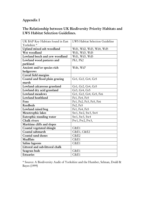# Appendix I

# The Relationship between UK Biodiversity Priority Habitats and LWS Habitat Selection Guidelines.

| UK BAP Key Habitats found in East | LWS Habitat Selection Guideline |
|-----------------------------------|---------------------------------|
| Yorkshire*                        |                                 |
| Upland mixed ash woodland         | Wd1, Wd2, Wd3, Wd4, Wd5         |
| Wet woodland                      | Wd1, Wd3, Wd5                   |
| Lowland beech and yew woodland    | Wd1, Wd3, Wd5                   |
| Lowland wood pastures and         | Pk1, PK2                        |
| parkland                          |                                 |
| Ancient and/or species rich       | Wd6, Wd7                        |
| hedgerows                         |                                 |
| Cereal field margins              |                                 |
| Coastal and flood plain grazing   | Gr1, Gr2, Gr4, Gr5              |
| marsh                             |                                 |
| Lowland calcareous grassland      | Gr1, Gr2, Gr4, Gr5              |
| Lowland dry acid grassland        | Gr3, Gr4, Gr5                   |
| Lowland meadows                   | Gr1, Gr2, Gr4, Gr5, Fe6         |
| Lowland heathland                 | Fe1, Fe4, Fe5                   |
| Fens                              | Fe1, Fe2, Fe3, Fe5, Fe6         |
| Reedbeds                          | Fe2, Fe5                        |
| Lowland raised bog                | Fe1, Fe4, Fe5                   |
| Mesotrophic lakes                 | Sw1, Sw2, Sw3, Sw4              |
| Eutrophic standing water          | Sw1, Sw3, Sw4                   |
| Chalk rivers                      | Fw1, Fw2, Fw3,                  |
| Maritime cliffs and slopes        |                                 |
| Coastal vegetated shingle         | C&E1                            |
| Coastal saltmarsh                 | <b>C&amp;E1, C&amp;E2</b>       |
| Coastal sand dunes                | C&E2                            |
| Mudflats                          | C&E1                            |
| Saline lagoons                    | C&E1                            |
| Littoral and sub-littoral chalk   |                                 |
| Seagrass beds                     | C&E1                            |
| <b>Estuaries</b>                  | C&E1                            |

\* Source: A Biodiversity Audit of Yorkshire and the Humber, Selman, Dodd & Bayes (1999)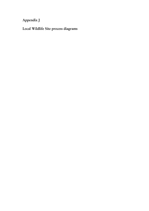Appendix J

Local Wildlife Site process diagrams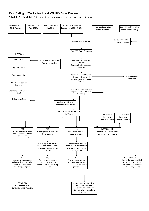

STAGE A: Candidate Site Selection, Landowner Permissions and Liaison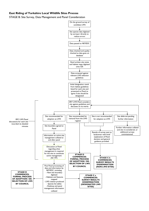STAGE B: Site Survey, Data Management and Panel Consideration



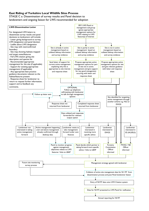STAGE C a: Dissemination of survey results and Panel decision to landowners and ongoing liaison for LWS recommended for adoption



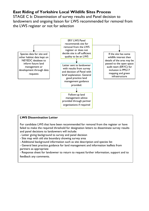STAGE C b: Dissemination of survey results and Panel decision to landowners and ongoing liaison for LWS recommended for removal from the LWS register or not for selection



#### LWS Dissemination Letter

For candidate LWS that have been recommended for removal from the register or have failed to make the required threshold for designation letters to disseminate survey results and panel decisions to landowners will include:

- Letter giving background to survey and panel decision
- Site map with old site boundary showing survey area
- Additional background information such as site description and species list
- General best practice guidance for land management and information leaflets from partners as appropriate

- Response sheet for landowner to return to request further information, support and to feedback any comments.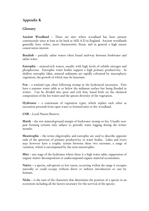# Appendix K

### Glossary

Ancient Woodland – These are sites where woodland has been present continuously since at least as far back as 1600 A.D in England. Ancient woodlands generally have richer, more characteristic floras, and in general a high nature conservation interest.

Brackish – partially saline waters often found mid-way between freshwater and saline water.

Eutrophic – mineral-rich waters, usually with high levels of soluble nitrogen and phosphorous. Eutrophic water bodies support a high primary productivity. In shallow eutrophic lakes, mineral sediments are rapidly colonised by macrophytic vegetation, the growth of which may be luxuriant.

Fen – a wetland type often following swamp in the hydroseral succession. Fens have a summer water table at or below the sediment surface but being flooded in winter. Can be divided into poor and rich fens, based both on the chemical composition of the fen waters and the species diversity of the vegetation.

Hydrosere – a continuum of vegetation types, which replace each other as succession proceeds from open water to forested mire or dry woodland.

LNR – Local Nature Reserve.

Marsh – the wet mineral-ground margin of freshwater swamp or fen. Usually nonpeat forming systems only subject to periodic water logging during the winter months.

Mesotrophic – the terms oligotrophic and eutrophic are used to describe opposite ends of the spectrum of primary productivity in water bodies. Lakes and rivers may however have a trophic system between these two extremes, a range of variation, which is encompassed by the term mesotrophic.

Mire – any stage of the hydrosere where there is a high water table, suppression of organic matter decomposition or undecomposed organic material accumulates.

Native – a species, sub-species or low taxon, occurring within the range it occupies naturally or could occupy without direct or indirect introduction or care by humans.

Niche – is the sum of the characters that determines the position of a species in an ecosystem including all the factors necessary for the survival of the species.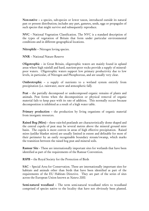Non-native – a species, sub-species or lower taxon, introduced outside its natural past or present distribution; includes any part, gametes, seeds, eggs or propagules of such species that might survive and subsequently reproduce.

NVC - National Vegetation Classification. The NVC is a standard description of the types of vegetation of Britain that form under particular environmental conditions and in different geographical locations.

Nitrophile – Nitrogen loving species.

NNR – National Nature Reserve

Oligotrophic – in Great Britain, oligotrophic waters are mainly found in upland areas where high rainfall and hard, nutrient-poor rocks provide a supply of mineralpoor waters. Oligotrophic waters support low primary productivity due to low levels, in particular, of Nitrogen and Phosphorous, and are usually very clear.

Ombrotrophic – a supply of nutrients to a wetland system entirely from precipitation (i.e. rainwater, snow and atmospheric fall).

Peat – the partially decomposed or undecomposed organic remains of plants and animals. Peat forms when the decomposition or physical removal of organic material fails to keep pace with its rate of addition. This normally occurs because decomposition is inhibited as a result of a high water table.

Primary production – the production by living organisms of organic material from inorganic resources.

Raised Bog (Mire) – these rain-fed peatlands are characteristically dome shaped and the central cupola of peat may be several metres above the mineral ground mire basin. The cupola is more convex in areas of high effective precipitation. Raised mires (unlike blanket mires) are usually limited in extent and definable for most of their perimeter by an easily recognisable boundary stream/swamp, which marks the transition between the raised bog peat and mineral soils.

Ramsar Site - These are internationally important sites for wetlands that have been identified as part of the requirements of the Ramsar Convention.

RSPB – the Royal Society for the Protection of Birds

SAC – Special Area for Conservation. These are internationally important sites for habitats and animals other than birds that have been identified as part of the requirements of the EU Habitats Directive. They are part of the series of sites across the European Union known as Natura 2000.

Semi-natural woodland – The term semi-natural woodland refers to woodland comprised of species native to the locality that have not obviously been planted.